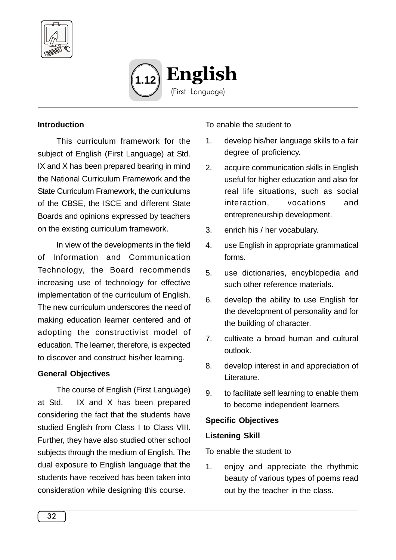



#### **Introduction**

This curriculum framework for the subject of English (First Language) at Std. IX and X has been prepared bearing in mind the National Curriculum Framework and the State Curriculum Framework, the curriculums of the CBSE, the ISCE and different State Boards and opinions expressed by teachers on the existing curriculum framework.

In view of the developments in the field of Information and Communication Technology, the Board recommends increasing use of technology for effective implementation of the curriculum of English. The new curriculum underscores the need of making education learner centered and of adopting the constructivist model of education. The learner, therefore, is expected to discover and construct his/her learning.

#### **General Objectives**

The course of English (First Language) at Std. IX and X has been prepared considering the fact that the students have studied English from Class I to Class VIII. Further, they have also studied other school subjects through the medium of English. The dual exposure to English language that the students have received has been taken into consideration while designing this course.

To enable the student to

- 1. develop his/her language skills to a fair degree of proficiency.
- 2. acquire communication skills in English useful for higher education and also for real life situations, such as social interaction, vocations and entrepreneurship development.
- 3. enrich his / her vocabulary.
- 4. use English in appropriate grammatical forms.
- 5. use dictionaries, encyblopedia and such other reference materials.
- 6. develop the ability to use English for the development of personality and for the building of character.
- 7. cultivate a broad human and cultural outlook.
- 8. develop interest in and appreciation of Literature.
- 9. to facilitate self learning to enable them to become independent learners.

#### **Specific Objectives**

#### **Listening Skill**

To enable the student to

1. enjoy and appreciate the rhythmic beauty of various types of poems read out by the teacher in the class.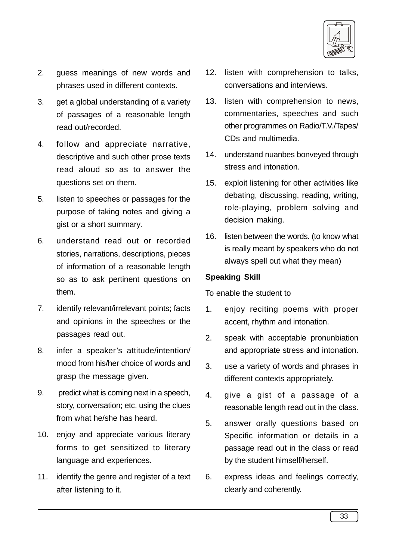

- 2. guess meanings of new words and phrases used in different contexts.
- 3. get a global understanding of a variety of passages of a reasonable length read out/recorded.
- 4. follow and appreciate narrative, descriptive and such other prose texts read aloud so as to answer the questions set on them.
- 5. listen to speeches or passages for the purpose of taking notes and giving a gist or a short summary.
- 6. understand read out or recorded stories, narrations, descriptions, pieces of information of a reasonable length so as to ask pertinent questions on them.
- 7. identify relevant/irrelevant points; facts and opinions in the speeches or the passages read out.
- 8. infer a speaker's attitude/intention/ mood from his/her choice of words and grasp the message given.
- 9. predict what is coming next in a speech, story, conversation; etc. using the clues from what he/she has heard.
- 10. enjoy and appreciate various literary forms to get sensitized to literary language and experiences.
- 11. identify the genre and register of a text after listening to it.
- 12. listen with comprehension to talks, conversations and interviews.
- 13. listen with comprehension to news, commentaries, speeches and such other programmes on Radio/T.V./Tapes/ CDs and multimedia.
- 14. understand nuanbes bonveyed through stress and intonation.
- 15. exploit listening for other activities like debating, discussing, reading, writing, role-playing, problem solving and decision making.
- 16. listen between the words. (to know what is really meant by speakers who do not always spell out what they mean)

## **Speaking Skill**

To enable the student to

- 1. enjoy reciting poems with proper accent, rhythm and intonation.
- 2. speak with acceptable pronunbiation and appropriate stress and intonation.
- 3. use a variety of words and phrases in different contexts appropriately.
- 4. give a gist of a passage of a reasonable length read out in the class.
- 5. answer orally questions based on Specific information or details in a passage read out in the class or read by the student himself/herself.
- 6. express ideas and feelings correctly, clearly and coherently.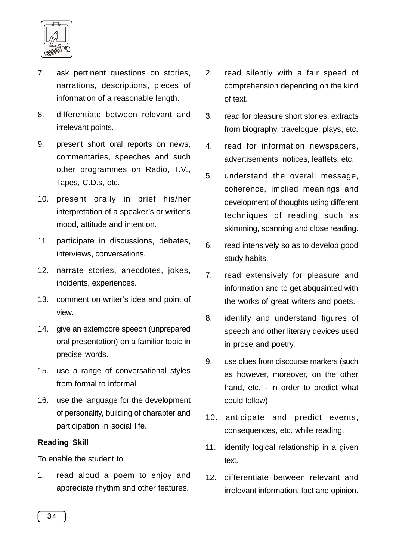

- 7. ask pertinent questions on stories, narrations, descriptions, pieces of information of a reasonable length.
- 8. differentiate between relevant and irrelevant points.
- 9. present short oral reports on news, commentaries, speeches and such other programmes on Radio, T.V., Tapes, C.D.s, etc.
- 10. present orally in brief his/her interpretation of a speaker's or writer's mood, attitude and intention.
- 11. participate in discussions, debates, interviews, conversations.
- 12. narrate stories, anecdotes, jokes, incidents, experiences.
- 13. comment on writer's idea and point of view.
- 14. give an extempore speech (unprepared oral presentation) on a familiar topic in precise words.
- 15. use a range of conversational styles from formal to informal.
- 16. use the language for the development of personality, building of charabter and participation in social life.

### **Reading Skill**

To enable the student to

1. read aloud a poem to enjoy and appreciate rhythm and other features.

- 2. read silently with a fair speed of comprehension depending on the kind of text.
- 3. read for pleasure short stories, extracts from biography, travelogue, plays, etc.
- 4. read for information newspapers, advertisements, notices, leaflets, etc.
- 5. understand the overall message, coherence, implied meanings and development of thoughts using different techniques of reading such as skimming, scanning and close reading.
- 6. read intensively so as to develop good study habits.
- 7. read extensively for pleasure and information and to get abquainted with the works of great writers and poets.
- 8. identify and understand figures of speech and other literary devices used in prose and poetry.
- 9. use clues from discourse markers (such as however, moreover, on the other hand, etc. - in order to predict what could follow)
- 10. anticipate and predict events, consequences, etc. while reading.
- 11. identify logical relationship in a given text.
- 12. differentiate between relevant and irrelevant information, fact and opinion.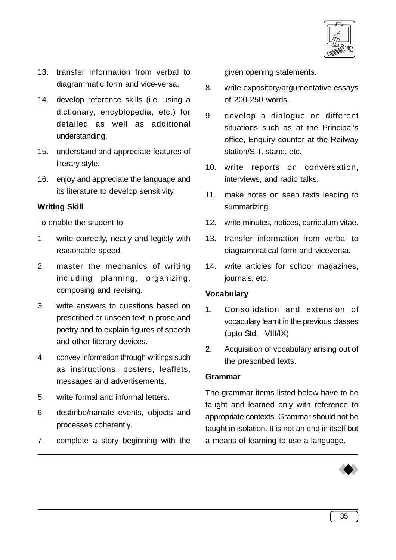

- 13. transfer information from verbal to diagrammatic form and vice-versa.
- 14. develop reference skills (i.e. using a dictionary, encyblopedia, etc.) for detailed as well as additional understanding.
- 15. understand and appreciate features of literary style.
- 16. enjoy and appreciate the language and its literature to develop sensitivity.

### **Writing Skill**

To enable the student to

- 1. write correctly, neatly and legibly with reasonable speed.
- 2. master the mechanics of writing including planning, organizing, composing and revising.
- 3. write answers to questions based on prescribed or unseen text in prose and poetry and to explain figures of speech and other literary devices.
- 4. convey information through writings such as instructions, posters, leaflets, messages and advertisements.
- 5. write formal and informal letters.
- 6. desbribe/narrate events, objects and processes coherently.
- 7. complete a story beginning with the

given opening statements.

- 8. write expository/argumentative essays of 200-250 words.
- 9. develop a dialogue on different situations such as at the Principal's office, Enquiry counter at the Railway station/S.T. stand, etc.
- 10. write reports on conversation, interviews, and radio talks.
- 11. make notes on seen texts leading to summarizing.
- 12. write minutes, notices, curriculum vitae.
- 13. transfer information from verbal to diagrammatical form and viceversa.
- 14. write articles for school magazines, journals, etc.

### **Vocabulary**

- 1. Consolidation and extension of vocaculary learnt in the previous classes (upto Std. VIII/IX)
- 2. Acquisition of vocabulary arising out of the prescribed texts.

### **Grammar**

The grammar items listed below have to be taught and learned only with reference to appropriate contexts. Grammar should not be taught in isolation. It is not an end in itself but a means of learning to use a language.

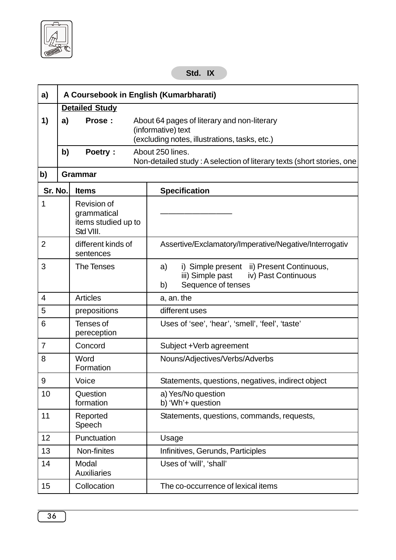# **Std. IX**

| a)             |                                                                                                                                    | A Coursebook in English (Kumarbharati)                                |                                                                                                                        |  |  |  |  |  |
|----------------|------------------------------------------------------------------------------------------------------------------------------------|-----------------------------------------------------------------------|------------------------------------------------------------------------------------------------------------------------|--|--|--|--|--|
|                | <b>Detailed Study</b>                                                                                                              |                                                                       |                                                                                                                        |  |  |  |  |  |
| 1)             | a)<br>Prose:<br>About 64 pages of literary and non-literary<br>(informative) text<br>(excluding notes, illustrations, tasks, etc.) |                                                                       |                                                                                                                        |  |  |  |  |  |
|                | b)                                                                                                                                 | Poetry:                                                               | About 250 lines.<br>Non-detailed study: A selection of literary texts (short stories, one                              |  |  |  |  |  |
| b)             | <b>Grammar</b>                                                                                                                     |                                                                       |                                                                                                                        |  |  |  |  |  |
| Sr. No.        |                                                                                                                                    | <b>Items</b>                                                          | <b>Specification</b>                                                                                                   |  |  |  |  |  |
| 1              |                                                                                                                                    | <b>Revision of</b><br>grammatical<br>items studied up to<br>Std VIII. |                                                                                                                        |  |  |  |  |  |
| $\overline{2}$ |                                                                                                                                    | different kinds of<br>sentences                                       | Assertive/Exclamatory/Imperative/Negative/Interrogativ                                                                 |  |  |  |  |  |
| 3              |                                                                                                                                    | <b>The Tenses</b>                                                     | i) Simple present ii) Present Continuous,<br>a)<br>iii) Simple past<br>iv) Past Continuous<br>Sequence of tenses<br>b) |  |  |  |  |  |
| 4              |                                                                                                                                    | <b>Articles</b>                                                       | a, an. the                                                                                                             |  |  |  |  |  |
| 5              |                                                                                                                                    | prepositions                                                          | different uses                                                                                                         |  |  |  |  |  |
| 6              |                                                                                                                                    | Tenses of<br>pereception                                              | Uses of 'see', 'hear', 'smell', 'feel', 'taste'                                                                        |  |  |  |  |  |
| $\overline{7}$ |                                                                                                                                    | Concord                                                               | Subject +Verb agreement                                                                                                |  |  |  |  |  |
| 8              |                                                                                                                                    | Word<br>Formation                                                     | Nouns/Adjectives/Verbs/Adverbs                                                                                         |  |  |  |  |  |
| 9              |                                                                                                                                    | Voice                                                                 | Statements, questions, negatives, indirect object                                                                      |  |  |  |  |  |
| 10             |                                                                                                                                    | Question<br>formation                                                 | a) Yes/No question<br>b) 'Wh'+ question                                                                                |  |  |  |  |  |
| 11             |                                                                                                                                    | Reported<br>Statements, questions, commands, requests,<br>Speech      |                                                                                                                        |  |  |  |  |  |
| 12             |                                                                                                                                    | Punctuation                                                           | Usage                                                                                                                  |  |  |  |  |  |
| 13             |                                                                                                                                    | Non-finites                                                           | Infinitives, Gerunds, Participles                                                                                      |  |  |  |  |  |
| 14             |                                                                                                                                    | Modal<br><b>Auxiliaries</b>                                           | Uses of 'will', 'shall'                                                                                                |  |  |  |  |  |
| 15             |                                                                                                                                    | Collocation                                                           | The co-occurrence of lexical items                                                                                     |  |  |  |  |  |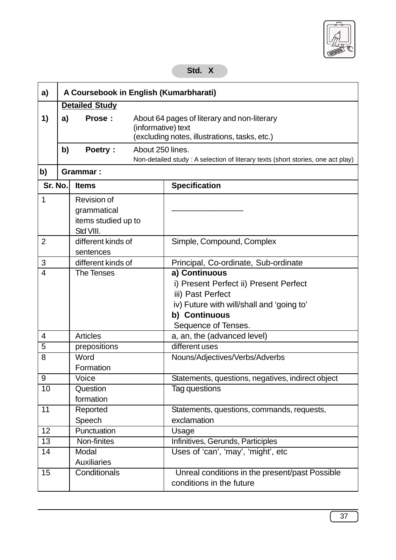

## **Std. X**

| a)             |                       | A Coursebook in English (Kumarbharati)                            |                                                                                                                    |                                                                                                                                                                   |  |  |  |
|----------------|-----------------------|-------------------------------------------------------------------|--------------------------------------------------------------------------------------------------------------------|-------------------------------------------------------------------------------------------------------------------------------------------------------------------|--|--|--|
|                | <b>Detailed Study</b> |                                                                   |                                                                                                                    |                                                                                                                                                                   |  |  |  |
| 1)             | a)                    | Prose:                                                            | About 64 pages of literary and non-literary<br>(informative) text<br>(excluding notes, illustrations, tasks, etc.) |                                                                                                                                                                   |  |  |  |
|                | b)                    | Poetry:                                                           | About 250 lines.                                                                                                   | Non-detailed study: A selection of literary texts (short stories, one act play)                                                                                   |  |  |  |
| b)             | <b>Grammar:</b>       |                                                                   |                                                                                                                    |                                                                                                                                                                   |  |  |  |
| Sr. No.        |                       | <b>Items</b>                                                      |                                                                                                                    | <b>Specification</b>                                                                                                                                              |  |  |  |
| 1              |                       | Revision of<br>grammatical<br>items studied up to<br>Std VIII.    |                                                                                                                    |                                                                                                                                                                   |  |  |  |
| 2              |                       | different kinds of<br>sentences                                   |                                                                                                                    | Simple, Compound, Complex                                                                                                                                         |  |  |  |
| 3              |                       | different kinds of                                                |                                                                                                                    | Principal, Co-ordinate, Sub-ordinate                                                                                                                              |  |  |  |
| 4              |                       | <b>The Tenses</b>                                                 |                                                                                                                    | a) Continuous<br>i) Present Perfect ii) Present Perfect<br>iii) Past Perfect<br>iv) Future with will/shall and 'going to'<br>b) Continuous<br>Sequence of Tenses. |  |  |  |
| 4              |                       | <b>Articles</b>                                                   |                                                                                                                    | a, an, the (advanced level)                                                                                                                                       |  |  |  |
| $\overline{5}$ |                       | prepositions                                                      |                                                                                                                    | different uses                                                                                                                                                    |  |  |  |
| 8              |                       | Word<br>Formation                                                 |                                                                                                                    | Nouns/Adjectives/Verbs/Adverbs                                                                                                                                    |  |  |  |
| 9              |                       | Voice                                                             |                                                                                                                    | Statements, questions, negatives, indirect object                                                                                                                 |  |  |  |
| 10             |                       | Question<br>formation                                             |                                                                                                                    | Tag questions                                                                                                                                                     |  |  |  |
| 11             | Reported<br>Speech    |                                                                   |                                                                                                                    | Statements, questions, commands, requests,<br>exclamation                                                                                                         |  |  |  |
| 12             | Punctuation           |                                                                   | Usage                                                                                                              |                                                                                                                                                                   |  |  |  |
| 13             | Non-finites           |                                                                   | Infinitives, Gerunds, Participles                                                                                  |                                                                                                                                                                   |  |  |  |
| 14             |                       | Uses of 'can', 'may', 'might', etc<br>Modal<br><b>Auxiliaries</b> |                                                                                                                    |                                                                                                                                                                   |  |  |  |
| 15             |                       | Conditionals                                                      |                                                                                                                    | Unreal conditions in the present/past Possible<br>conditions in the future                                                                                        |  |  |  |